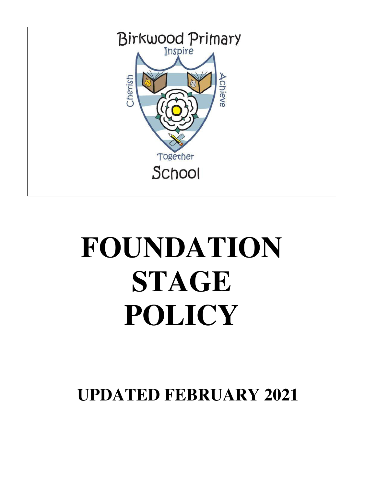

# **FOUNDATION STAGE POLICY**

**UPDATED FEBRUARY 2021**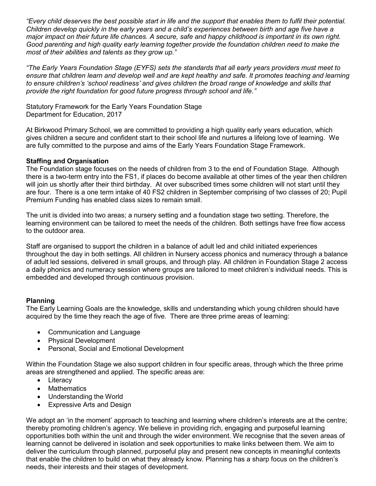*"Every child deserves the best possible start in life and the support that enables them to fulfil their potential. Children develop quickly in the early years and a child's experiences between birth and age five have a major impact on their future life chances. A secure, safe and happy childhood is important in its own right. Good parenting and high quality early learning together provide the foundation children need to make the most of their abilities and talents as they grow up."*

*"The Early Years Foundation Stage (EYFS) sets the standards that all early years providers must meet to*  ensure that children learn and develop well and are kept healthy and safe. It promotes teaching and learning *to ensure children's 'school readiness' and gives children the broad range of knowledge and skills that provide the right foundation for good future progress through school and life."*

Statutory Framework for the Early Years Foundation Stage Department for Education, 2017

At Birkwood Primary School, we are committed to providing a high quality early years education, which gives children a secure and confident start to their school life and nurtures a lifelong love of learning. We are fully committed to the purpose and aims of the Early Years Foundation Stage Framework.

#### **Staffing and Organisation**

The Foundation stage focuses on the needs of children from 3 to the end of Foundation Stage. Although there is a two-term entry into the FS1, if places do become available at other times of the year then children will join us shortly after their third birthday. At over subscribed times some children will not start until they are four. There is a one term intake of 40 FS2 children in September comprising of two classes of 20; Pupil Premium Funding has enabled class sizes to remain small.

The unit is divided into two areas; a nursery setting and a foundation stage two setting. Therefore, the learning environment can be tailored to meet the needs of the children. Both settings have free flow access to the outdoor area.

Staff are organised to support the children in a balance of adult led and child initiated experiences throughout the day in both settings. All children in Nursery access phonics and numeracy through a balance of adult led sessions, delivered in small groups, and through play. All children in Foundation Stage 2 access a daily phonics and numeracy session where groups are tailored to meet children's individual needs. This is embedded and developed through continuous provision.

## **Planning**

The Early Learning Goals are the knowledge, skills and understanding which young children should have acquired by the time they reach the age of five. There are three prime areas of learning:

- Communication and Language
- Physical Development
- Personal, Social and Emotional Development

Within the Foundation Stage we also support children in four specific areas, through which the three prime areas are strengthened and applied. The specific areas are:

- Literacy
- Mathematics
- Understanding the World
- Expressive Arts and Design

We adopt an 'in the moment' approach to teaching and learning where children's interests are at the centre; thereby promoting children's agency. We believe in providing rich, engaging and purposeful learning opportunities both within the unit and through the wider environment. We recognise that the seven areas of learning cannot be delivered in isolation and seek opportunities to make links between them. We aim to deliver the curriculum through planned, purposeful play and present new concepts in meaningful contexts that enable the children to build on what they already know. Planning has a sharp focus on the children's needs, their interests and their stages of development.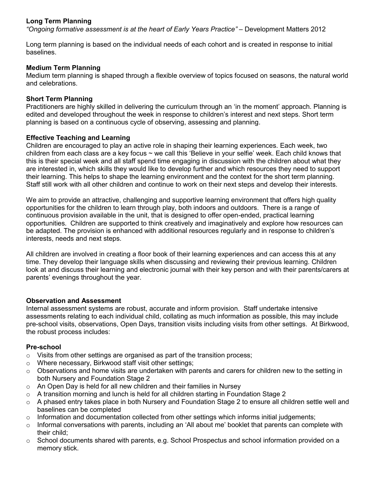# **Long Term Planning**

*"Ongoing formative assessment is at the heart of Early Years Practice"* – Development Matters 2012

Long term planning is based on the individual needs of each cohort and is created in response to initial baselines.

## **Medium Term Planning**

Medium term planning is shaped through a flexible overview of topics focused on seasons, the natural world and celebrations.

## **Short Term Planning**

Practitioners are highly skilled in delivering the curriculum through an 'in the moment' approach. Planning is edited and developed throughout the week in response to children's interest and next steps. Short term planning is based on a continuous cycle of observing, assessing and planning.

## **Effective Teaching and Learning**

Children are encouraged to play an active role in shaping their learning experiences. Each week, two children from each class are a key focus ~ we call this 'Believe in your selfie' week. Each child knows that this is their special week and all staff spend time engaging in discussion with the children about what they are interested in, which skills they would like to develop further and which resources they need to support their learning. This helps to shape the learning environment and the context for the short term planning. Staff still work with all other children and continue to work on their next steps and develop their interests.

We aim to provide an attractive, challenging and supportive learning environment that offers high quality opportunities for the children to learn through play, both indoors and outdoors. There is a range of continuous provision available in the unit, that is designed to offer open-ended, practical learning opportunities. Children are supported to think creatively and imaginatively and explore how resources can be adapted. The provision is enhanced with additional resources regularly and in response to children's interests, needs and next steps.

All children are involved in creating a floor book of their learning experiences and can access this at any time. They develop their language skills when discussing and reviewing their previous learning. Children look at and discuss their learning and electronic journal with their key person and with their parents/carers at parents' evenings throughout the year.

## **Observation and Assessment**

Internal assessment systems are robust, accurate and inform provision. Staff undertake intensive assessments relating to each individual child, collating as much information as possible, this may include pre-school visits, observations, Open Days, transition visits including visits from other settings. At Birkwood, the robust process includes:

## **Pre-school**

- $\circ$  Visits from other settings are organised as part of the transition process;
- o Where necessary, Birkwood staff visit other settings;
- $\circ$  Observations and home visits are undertaken with parents and carers for children new to the setting in both Nursery and Foundation Stage 2
- $\circ$  An Open Day is held for all new children and their families in Nursey
- o A transition morning and lunch is held for all children starting in Foundation Stage 2
- $\circ$  A phased entry takes place in both Nursery and Foundation Stage 2 to ensure all children settle well and baselines can be completed
- $\circ$  Information and documentation collected from other settings which informs initial judgements;
- o Informal conversations with parents, including an 'All about me' booklet that parents can complete with their child;
- $\circ$  School documents shared with parents, e.g. School Prospectus and school information provided on a memory stick.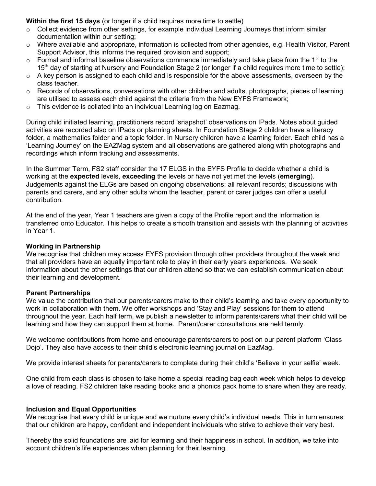**Within the first 15 days** (or longer if a child requires more time to settle)

- o Collect evidence from other settings, for example individual Learning Journeys that inform similar documentation within our setting;
- o Where available and appropriate, information is collected from other agencies, e.g. Health Visitor, Parent Support Advisor, this informs the required provision and support;
- $\circ$  Formal and informal baseline observations commence immediately and take place from the 1<sup>st</sup> to the  $15<sup>th</sup>$  day of starting at Nursery and Foundation Stage 2 (or longer if a child requires more time to settle);
- $\circ$  A key person is assigned to each child and is responsible for the above assessments, overseen by the class teacher.
- $\circ$  Records of observations, conversations with other children and adults, photographs, pieces of learning are utilised to assess each child against the criteria from the New EYFS Framework;
- o This evidence is collated into an individual Learning log on Eazmag.

During child initiated learning, practitioners record 'snapshot' observations on IPads. Notes about guided activities are recorded also on IPads or planning sheets. In Foundation Stage 2 children have a literacy folder, a mathematics folder and a topic folder. In Nursery children have a learning folder. Each child has a 'Learning Journey' on the EAZMag system and all observations are gathered along with photographs and recordings which inform tracking and assessments.

In the Summer Term, FS2 staff consider the 17 ELGS in the EYFS Profile to decide whether a child is working at the **expected** levels, **exceeding** the levels or have not yet met the levels (**emerging**). Judgements against the ELGs are based on ongoing observations; all relevant records; discussions with parents and carers, and any other adults whom the teacher, parent or carer judges can offer a useful contribution.

At the end of the year, Year 1 teachers are given a copy of the Profile report and the information is transferred onto Educator. This helps to create a smooth transition and assists with the planning of activities in Year 1.

#### **Working in Partnership**

We recognise that children may access EYFS provision through other providers throughout the week and that all providers have an equally important role to play in their early years experiences. We seek information about the other settings that our children attend so that we can establish communication about their learning and development.

## **Parent Partnerships**

We value the contribution that our parents/carers make to their child's learning and take every opportunity to work in collaboration with them. We offer workshops and 'Stay and Play' sessions for them to attend throughout the year. Each half term, we publish a newsletter to inform parents/carers what their child will be learning and how they can support them at home. Parent/carer consultations are held termly.

We welcome contributions from home and encourage parents/carers to post on our parent platform 'Class Dojo'. They also have access to their child's electronic learning journal on EazMag.

We provide interest sheets for parents/carers to complete during their child's 'Believe in your selfie' week.

One child from each class is chosen to take home a special reading bag each week which helps to develop a love of reading. FS2 children take reading books and a phonics pack home to share when they are ready.

## **Inclusion and Equal Opportunities**

We recognise that every child is unique and we nurture every child's individual needs. This in turn ensures that our children are happy, confident and independent individuals who strive to achieve their very best.

Thereby the solid foundations are laid for learning and their happiness in school. In addition, we take into account children's life experiences when planning for their learning.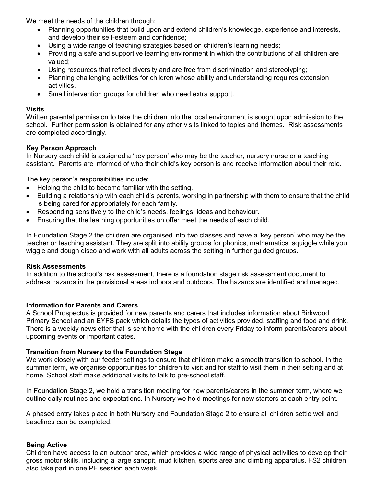We meet the needs of the children through:

- Planning opportunities that build upon and extend children's knowledge, experience and interests, and develop their self-esteem and confidence;
- Using a wide range of teaching strategies based on children's learning needs;
- Providing a safe and supportive learning environment in which the contributions of all children are valued;
- Using resources that reflect diversity and are free from discrimination and stereotyping;
- Planning challenging activities for children whose ability and understanding requires extension activities.
- Small intervention groups for children who need extra support.

# **Visits**

Written parental permission to take the children into the local environment is sought upon admission to the school. Further permission is obtained for any other visits linked to topics and themes. Risk assessments are completed accordingly.

# **Key Person Approach**

In Nursery each child is assigned a 'key person' who may be the teacher, nursery nurse or a teaching assistant. Parents are informed of who their child's key person is and receive information about their role.

The key person's responsibilities include:

- Helping the child to become familiar with the setting.
- Building a relationship with each child's parents, working in partnership with them to ensure that the child is being cared for appropriately for each family.
- Responding sensitively to the child's needs, feelings, ideas and behaviour.
- Ensuring that the learning opportunities on offer meet the needs of each child.

In Foundation Stage 2 the children are organised into two classes and have a 'key person' who may be the teacher or teaching assistant. They are split into ability groups for phonics, mathematics, squiggle while you wiggle and dough disco and work with all adults across the setting in further guided groups.

## **Risk Assessments**

In addition to the school's risk assessment, there is a foundation stage risk assessment document to address hazards in the provisional areas indoors and outdoors. The hazards are identified and managed.

## **Information for Parents and Carers**

A School Prospectus is provided for new parents and carers that includes information about Birkwood Primary School and an EYFS pack which details the types of activities provided, staffing and food and drink. There is a weekly newsletter that is sent home with the children every Friday to inform parents/carers about upcoming events or important dates.

## **Transition from Nursery to the Foundation Stage**

We work closely with our feeder settings to ensure that children make a smooth transition to school. In the summer term, we organise opportunities for children to visit and for staff to visit them in their setting and at home. School staff make additional visits to talk to pre-school staff.

In Foundation Stage 2, we hold a transition meeting for new parents/carers in the summer term, where we outline daily routines and expectations. In Nursery we hold meetings for new starters at each entry point.

A phased entry takes place in both Nursery and Foundation Stage 2 to ensure all children settle well and baselines can be completed.

# **Being Active**

Children have access to an outdoor area, which provides a wide range of physical activities to develop their gross motor skills, including a large sandpit, mud kitchen, sports area and climbing apparatus. FS2 children also take part in one PE session each week.